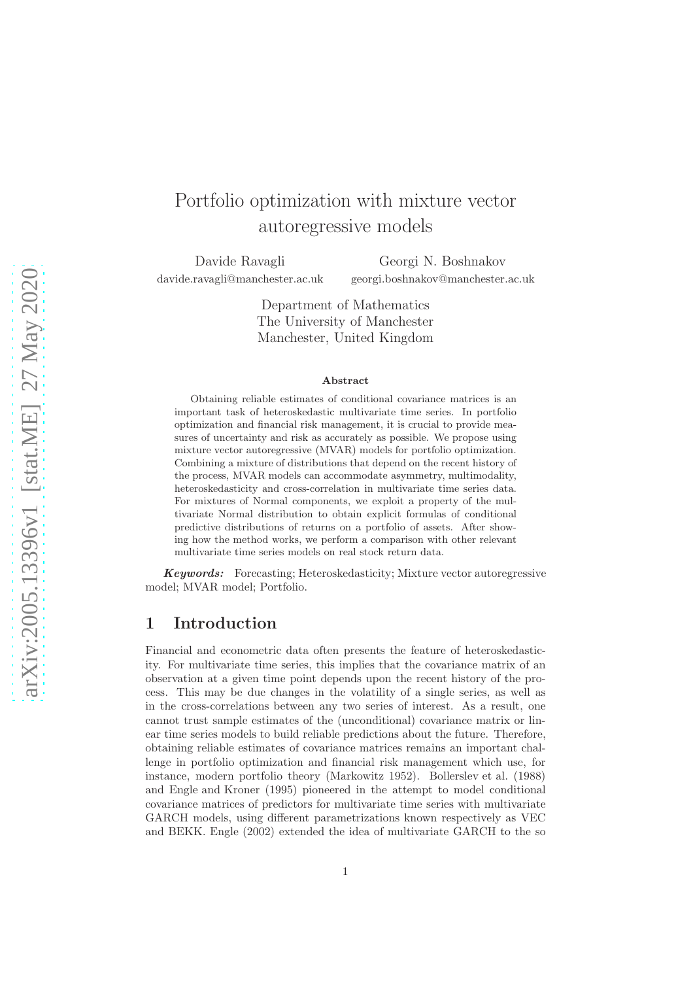# Portfolio optimization with mixture vector autoregressive models

Davide Ravagli <davide.ravagli@manchester.ac.uk>

Georgi N. Boshnakov <georgi.boshnakov@manchester.ac.uk>

Department of Mathematics The University of Manchester Manchester, United Kingdom

#### Abstract

Obtaining reliable estimates of conditional covariance matrices is an important task of heteroskedastic multivariate time series. In portfolio optimization and financial risk management, it is crucial to provide measures of uncertainty and risk as accurately as possible. We propose using mixture vector autoregressive (MVAR) models for portfolio optimization. Combining a mixture of distributions that depend on the recent history of the process, MVAR models can accommodate asymmetry, multimodality, heteroskedasticity and cross-correlation in multivariate time series data. For mixtures of Normal components, we exploit a property of the multivariate Normal distribution to obtain explicit formulas of conditional predictive distributions of returns on a portfolio of assets. After showing how the method works, we perform a comparison with other relevant multivariate time series models on real stock return data.

Keywords: Forecasting; Heteroskedasticity; Mixture vector autoregressive model; MVAR model; Portfolio.

### 1 Introduction

Financial and econometric data often presents the feature of heteroskedasticity. For multivariate time series, this implies that the covariance matrix of an observation at a given time point depends upon the recent history of the process. This may be due changes in the volatility of a single series, as well as in the cross-correlations between any two series of interest. As a result, one cannot trust sample estimates of the (unconditional) covariance matrix or linear time series models to build reliable predictions about the future. Therefore, obtaining reliable estimates of covariance matrices remains an important challenge in portfolio optimization and financial risk management which use, for instance, modern portfolio theory [\(Markowitz 1952\)](#page-18-0). [Bollerslev et](#page-17-0) al. [\(1988\)](#page-17-0) and [Engle and Kroner \(1995\)](#page-18-1) pioneered in the attempt to model conditional covariance matrices of predictors for multivariate time series with multivariate GARCH models, using different parametrizations known respectively as VEC and BEKK. [Engle \(2002](#page-18-2)) extended the idea of multivariate GARCH to the so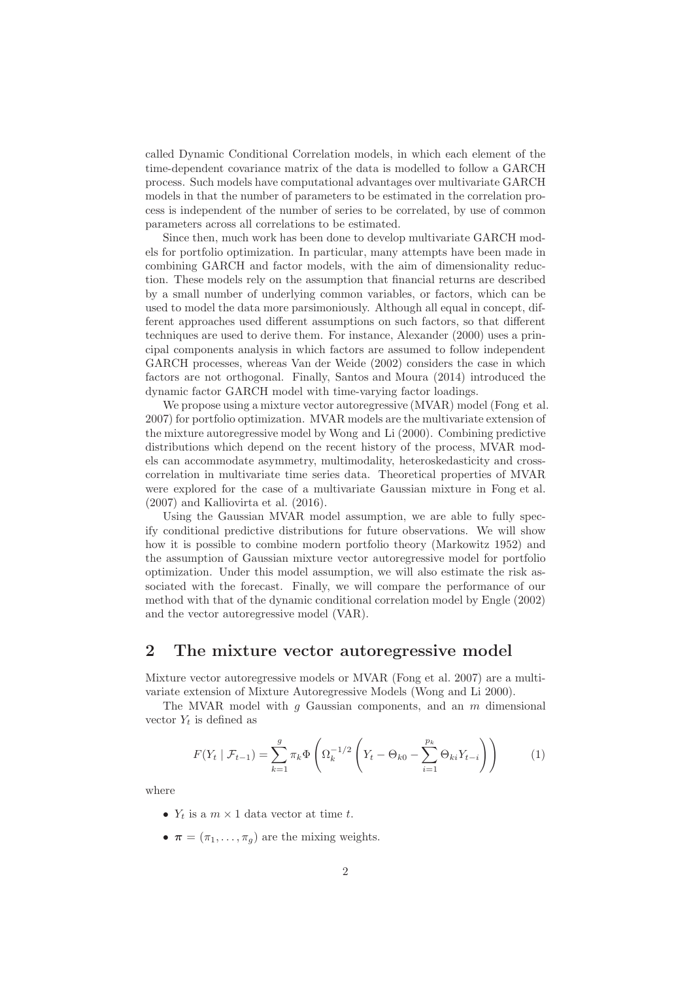called Dynamic Conditional Correlation models, in which each element of the time-dependent covariance matrix of the data is modelled to follow a GARCH process. Such models have computational advantages over multivariate GARCH models in that the number of parameters to be estimated in the correlation process is independent of the number of series to be correlated, by use of common parameters across all correlations to be estimated.

Since then, much work has been done to develop multivariate GARCH models for portfolio optimization. In particular, many attempts have been made in combining GARCH and factor models, with the aim of dimensionality reduction. These models rely on the assumption that financial returns are described by a small number of underlying common variables, or factors, which can be used to model the data more parsimoniously. Although all equal in concept, different approaches used different assumptions on such factors, so that different techniques are used to derive them. For instance, [Alexander \(2000\)](#page-17-1) uses a principal components analysis in which factors are assumed to follow independent GARCH processes, whereas [Van der Weide \(2002\)](#page-18-3) considers the case in which factors are not orthogonal. Finally, [Santos and Moura \(2014\)](#page-18-4) introduced the dynamic factor GARCH model with time-varying factor loadings.

We propose using a mixture vector autoregressive (MVAR) model [\(Fong et al.](#page-18-5) [2007\)](#page-18-5) for portfolio optimization. MVAR models are the multivariate extension of the mixture autoregressive model by [Wong and Li \(2000\)](#page-18-6). Combining predictive distributions which depend on the recent history of the process, MVAR models can accommodate asymmetry, multimodality, heteroskedasticity and crosscorrelation in multivariate time series data. Theoretical properties of MVAR were explored for the case of a multivariate Gaussian mixture in Fong [et al.](#page-18-5) [\(2007\)](#page-18-5) and [Kalliovirta et al. \(2016](#page-18-7)).

Using the Gaussian MVAR model assumption, we are able to fully specify conditional predictive distributions for future observations. We will show how it is possible to combine modern portfolio theory [\(Markowitz 1952\)](#page-18-0) and the assumption of Gaussian mixture vector autoregressive model for portfolio optimization. Under this model assumption, we will also estimate the risk associated with the forecast. Finally, we will compare the performance of our method with that of the dynamic conditional correlation model by [Engle \(2002\)](#page-18-2) and the vector autoregressive model (VAR).

#### <span id="page-1-1"></span>2 The mixture vector autoregressive model

Mixture vector autoregressive models or MVAR [\(Fong et al. 2007](#page-18-5)) are a multivariate extension of Mixture Autoregressive Models [\(Wong and Li 2000\)](#page-18-6).

The MVAR model with  $q$  Gaussian components, and an  $m$  dimensional vector  $Y_t$  is defined as

<span id="page-1-0"></span>
$$
F(Y_t | \mathcal{F}_{t-1}) = \sum_{k=1}^{g} \pi_k \Phi \left( \Omega_k^{-1/2} \left( Y_t - \Theta_{k0} - \sum_{i=1}^{p_k} \Theta_{ki} Y_{t-i} \right) \right) \tag{1}
$$

where

- $Y_t$  is a  $m \times 1$  data vector at time t.
- $\pi = (\pi_1, \ldots, \pi_n)$  are the mixing weights.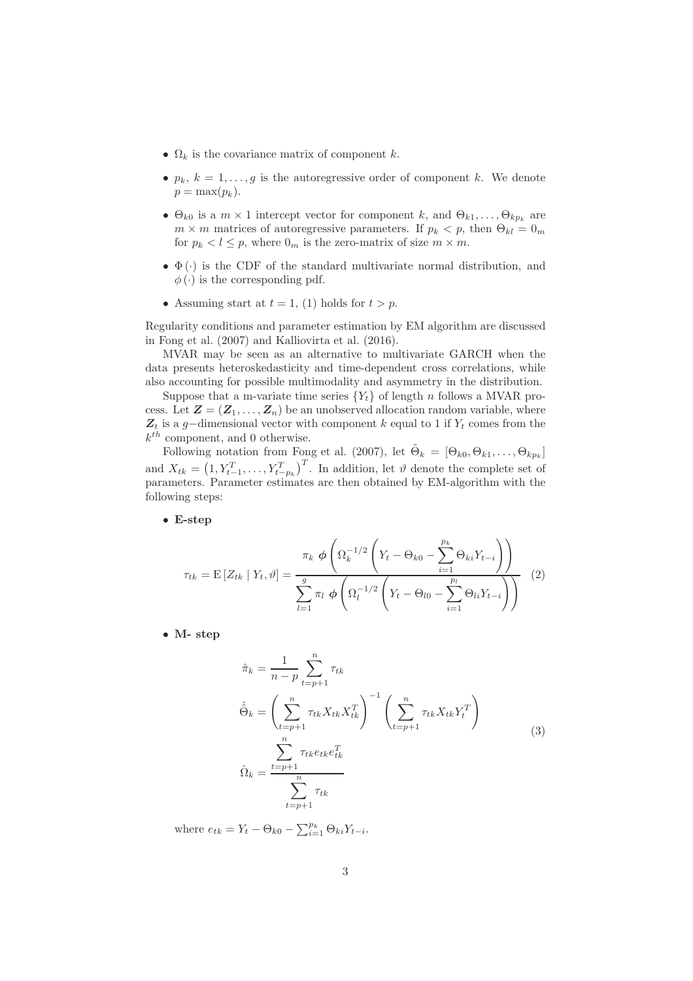- $\Omega_k$  is the covariance matrix of component k.
- $p_k$ ,  $k = 1, \ldots, g$  is the autoregressive order of component k. We denote  $p = \max(p_k)$ .
- $\Theta_{k0}$  is a  $m \times 1$  intercept vector for component k, and  $\Theta_{k1}, \ldots, \Theta_{kp_k}$  are  $m \times m$  matrices of autoregressive parameters. If  $p_k < p$ , then  $\Theta_{kl} = 0_m$ for  $p_k < l \leq p$ , where  $0_m$  is the zero-matrix of size  $m \times m$ .
- $\Phi(\cdot)$  is the CDF of the standard multivariate normal distribution, and  $\phi(\cdot)$  is the corresponding pdf.
- Assuming start at  $t = 1$ , [\(1\)](#page-1-0) holds for  $t > p$ .

Regularity conditions and parameter estimation by EM algorithm are discussed in [Fong et al. \(2007](#page-18-5)) and [Kalliovirta et al. \(2016\)](#page-18-7).

MVAR may be seen as an alternative to multivariate GARCH when the data presents heteroskedasticity and time-dependent cross correlations, while also accounting for possible multimodality and asymmetry in the distribution.

Suppose that a m-variate time series  ${Y<sub>t</sub>}$  of length n follows a MVAR process. Let  $\mathbf{Z} = (\mathbf{Z}_1, \ldots, \mathbf{Z}_n)$  be an unobserved allocation random variable, where  $Z_t$  is a g-dimensional vector with component k equal to 1 if  $Y_t$  comes from the  $k^{th}$  component, and 0 otherwise.

Following notation from [Fong et al. \(2007\)](#page-18-5), let  $\tilde{\Theta}_k = [\Theta_{k0}, \Theta_{k1}, \dots, \Theta_{kp_k}]$ and  $X_{tk} = (1, Y_{t-1}^T, \ldots, Y_{t-p_k}^T)^T$ . In addition, let  $\vartheta$  denote the complete set of parameters. Parameter estimates are then obtained by EM-algorithm with the following steps:

• E-step

$$
\tau_{tk} = \mathbb{E}\left[Z_{tk} \mid Y_t, \vartheta\right] = \frac{\pi_k \phi\left(\Omega_k^{-1/2} \left(Y_t - \Theta_{k0} - \sum_{i=1}^{p_k} \Theta_{ki} Y_{t-i}\right)\right)}{\sum_{l=1}^{g} \pi_l \phi\left(\Omega_l^{-1/2} \left(Y_t - \Theta_{l0} - \sum_{i=1}^{p_l} \Theta_{li} Y_{t-i}\right)\right)}
$$
(2)

• M- step

$$
\hat{\pi}_k = \frac{1}{n-p} \sum_{t=p+1}^n \tau_{tk}
$$
\n
$$
\hat{\Theta}_k = \left(\sum_{t=p+1}^n \tau_{tk} X_{tk} X_{tk}^T\right)^{-1} \left(\sum_{t=p+1}^n \tau_{tk} X_{tk} Y_t^T\right)
$$
\n
$$
\hat{\Omega}_k = \frac{\sum_{t=p+1}^n \tau_{tk} e_{tk} e_{tk}^T}{\sum_{t=p+1}^n \tau_{tk}}
$$
\n(3)

where  $e_{tk} = Y_t - \Theta_{k0} - \sum_{i=1}^{p_k} \Theta_{ki} Y_{t-i}$ .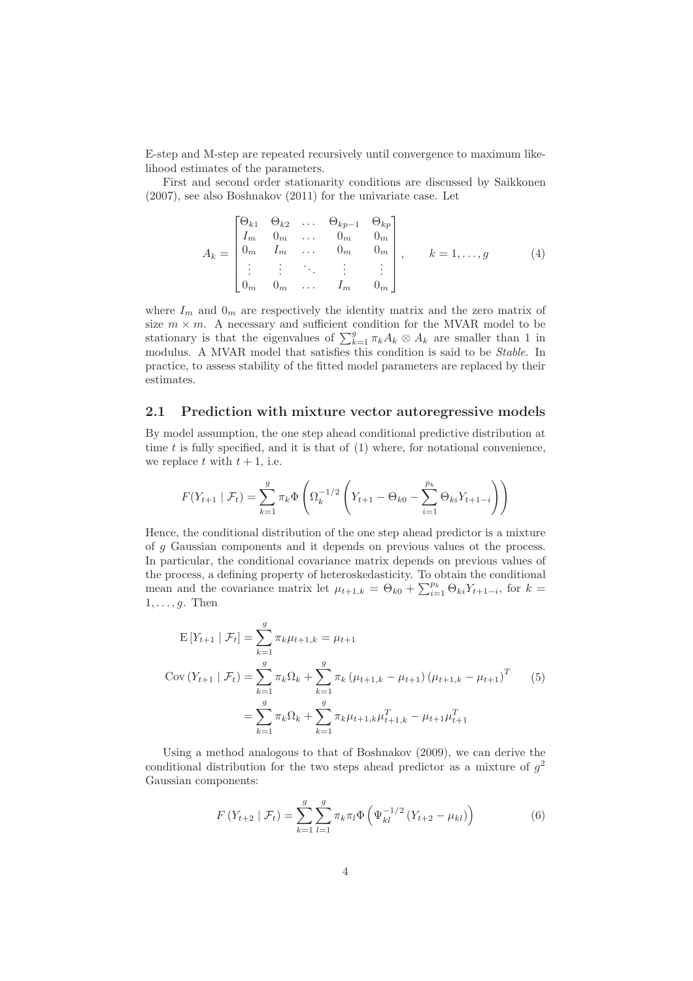E-step and M-step are repeated recursively until convergence to maximum likelihood estimates of the parameters.

First and second order stationarity conditions are discussed by [Saikkonen](#page-18-8) [\(2007\)](#page-18-8), see also [Boshnakov \(2011\)](#page-18-9) for the univariate case. Let

$$
A_{k} = \begin{bmatrix} \Theta_{k1} & \Theta_{k2} & \dots & \Theta_{kp-1} & \Theta_{kp} \\ I_{m} & 0_{m} & \dots & 0_{m} & 0_{m} \\ 0_{m} & I_{m} & \dots & 0_{m} & 0_{m} \\ \vdots & \vdots & \ddots & \vdots & \vdots \\ 0_{m} & 0_{m} & \dots & I_{m} & 0_{m} \end{bmatrix}, \qquad k = 1, \dots, g \qquad (4)
$$

where  $I_m$  and  $0_m$  are respectively the identity matrix and the zero matrix of size  $m \times m$ . A necessary and sufficient condition for the MVAR model to be stationary is that the eigenvalues of  $\sum_{k=1}^{g} \pi_k A_k \otimes A_k$  are smaller than 1 in modulus. A MVAR model that satisfies this condition is said to be *Stable*. In practice, to assess stability of the fitted model parameters are replaced by their estimates.

#### <span id="page-3-0"></span>2.1 Prediction with mixture vector autoregressive models

By model assumption, the one step ahead conditional predictive distribution at time  $t$  is fully specified, and it is that of  $(1)$  where, for notational convenience, we replace t with  $t + 1$ , i.e.

$$
F(Y_{t+1} | \mathcal{F}_t) = \sum_{k=1}^{g} \pi_k \Phi \left( \Omega_k^{-1/2} \left( Y_{t+1} - \Theta_{k0} - \sum_{i=1}^{p_k} \Theta_{ki} Y_{t+1-i} \right) \right)
$$

Hence, the conditional distribution of the one step ahead predictor is a mixture of g Gaussian components and it depends on previous values ot the process. In particular, the conditional covariance matrix depends on previous values of the process, a defining property of heteroskedasticity. To obtain the conditional mean and the covariance matrix let  $\mu_{t+1,k} = \Theta_{k0} + \sum_{i=1}^{p_k} \Theta_{ki} Y_{t+1-i}$ , for  $k =$  $1, \ldots, g$ . Then

$$
E\left[Y_{t+1} \mid \mathcal{F}_{t}\right] = \sum_{k=1}^{g} \pi_{k} \mu_{t+1,k} = \mu_{t+1}
$$
  
\n
$$
Cov\left(Y_{t+1} \mid \mathcal{F}_{t}\right) = \sum_{k=1}^{g} \pi_{k} \Omega_{k} + \sum_{k=1}^{g} \pi_{k} \left(\mu_{t+1,k} - \mu_{t+1}\right) \left(\mu_{t+1,k} - \mu_{t+1}\right)^{T}
$$
 (5)  
\n
$$
= \sum_{k=1}^{g} \pi_{k} \Omega_{k} + \sum_{k=1}^{g} \pi_{k} \mu_{t+1,k} \mu_{t+1,k}^{T} - \mu_{t+1} \mu_{t+1}^{T}
$$

Using a method analogous to that of [Boshnakov \(2009\)](#page-17-2), we can derive the conditional distribution for the two steps ahead predictor as a mixture of  $g^2$ Gaussian components:

$$
F(Y_{t+2} | \mathcal{F}_t) = \sum_{k=1}^{g} \sum_{l=1}^{g} \pi_k \pi_l \Phi \left( \Psi_{kl}^{-1/2} \left( Y_{t+2} - \mu_{kl} \right) \right)
$$
(6)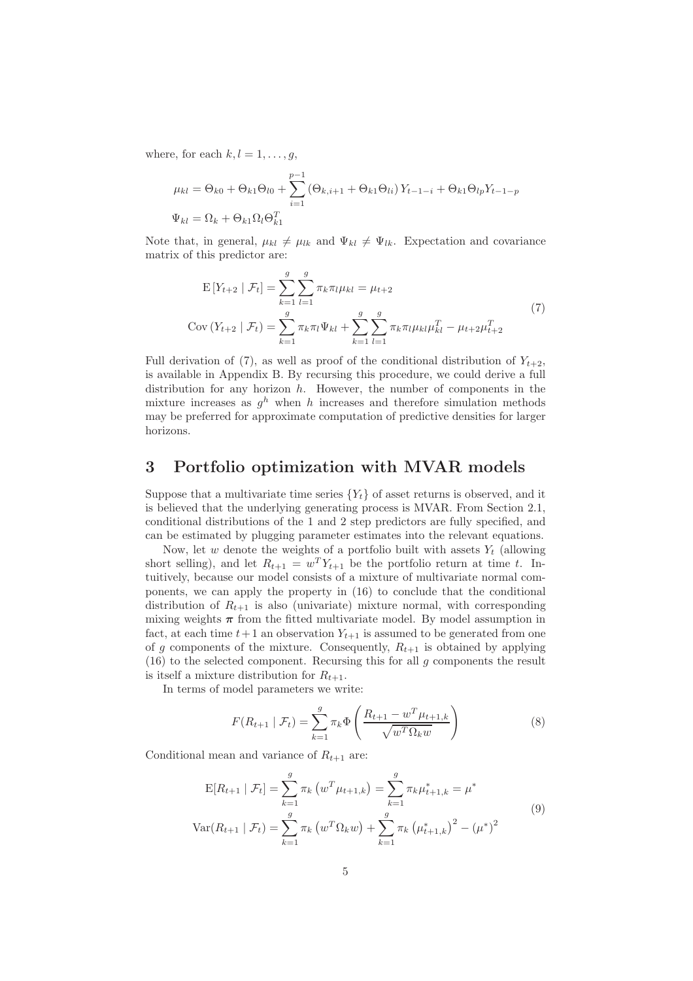where, for each  $k, l = 1, \ldots, q$ ,

$$
\mu_{kl} = \Theta_{k0} + \Theta_{k1}\Theta_{l0} + \sum_{i=1}^{p-1} (\Theta_{k,i+1} + \Theta_{k1}\Theta_{li}) Y_{t-1-i} + \Theta_{k1}\Theta_{lp}Y_{t-1-p}
$$
  

$$
\Psi_{kl} = \Omega_k + \Theta_{k1}\Omega_l\Theta_{k1}^T
$$

Note that, in general,  $\mu_{kl} \neq \mu_{lk}$  and  $\Psi_{kl} \neq \Psi_{lk}$ . Expectation and covariance matrix of this predictor are:

<span id="page-4-0"></span>
$$
\mathcal{E}\left[Y_{t+2} \mid \mathcal{F}_{t}\right] = \sum_{k=1}^{g} \sum_{l=1}^{g} \pi_{k} \pi_{l} \mu_{kl} = \mu_{t+2}
$$
\n
$$
\text{Cov}\left(Y_{t+2} \mid \mathcal{F}_{t}\right) = \sum_{k=1}^{g} \pi_{k} \pi_{l} \Psi_{kl} + \sum_{k=1}^{g} \sum_{l=1}^{g} \pi_{k} \pi_{l} \mu_{kl} \mu_{kl}^{T} - \mu_{t+2} \mu_{t+2}^{T}
$$
\n
$$
(7)
$$

Full derivation of [\(7\)](#page-4-0), as well as proof of the conditional distribution of  $Y_{t+2}$ , is available in Appendix [B.](#page-16-0) By recursing this procedure, we could derive a full distribution for any horizon  $h$ . However, the number of components in the mixture increases as  $g^h$  when h increases and therefore simulation methods may be preferred for approximate computation of predictive densities for larger horizons.

### <span id="page-4-1"></span>3 Portfolio optimization with MVAR models

Suppose that a multivariate time series  ${Y_t}$  of asset returns is observed, and it is believed that the underlying generating process is MVAR. From Section [2.1,](#page-3-0) conditional distributions of the 1 and 2 step predictors are fully specified, and can be estimated by plugging parameter estimates into the relevant equations.

Now, let  $w$  denote the weights of a portfolio built with assets  $Y_t$  (allowing short selling), and let  $R_{t+1} = w^T Y_{t+1}$  be the portfolio return at time t. Intuitively, because our model consists of a mixture of multivariate normal components, we can apply the property in [\(16\)](#page-16-1) to conclude that the conditional distribution of  $R_{t+1}$  is also (univariate) mixture normal, with corresponding mixing weights  $\pi$  from the fitted multivariate model. By model assumption in fact, at each time  $t+1$  an observation  $Y_{t+1}$  is assumed to be generated from one of g components of the mixture. Consequently,  $R_{t+1}$  is obtained by applying  $(16)$  to the selected component. Recursing this for all g components the result is itself a mixture distribution for  $R_{t+1}$ .

In terms of model parameters we write:

$$
F(R_{t+1} | \mathcal{F}_t) = \sum_{k=1}^{g} \pi_k \Phi\left(\frac{R_{t+1} - w^T \mu_{t+1,k}}{\sqrt{w^T \Omega_k w}}\right)
$$
(8)

Conditional mean and variance of  $R_{t+1}$  are:

$$
E[R_{t+1} | \mathcal{F}_t] = \sum_{k=1}^g \pi_k (w^T \mu_{t+1,k}) = \sum_{k=1}^g \pi_k \mu_{t+1,k}^* = \mu^*
$$
  
\n
$$
Var(R_{t+1} | \mathcal{F}_t) = \sum_{k=1}^g \pi_k (w^T \Omega_k w) + \sum_{k=1}^g \pi_k (\mu_{t+1,k}^*)^2 - (\mu^*)^2
$$
\n(9)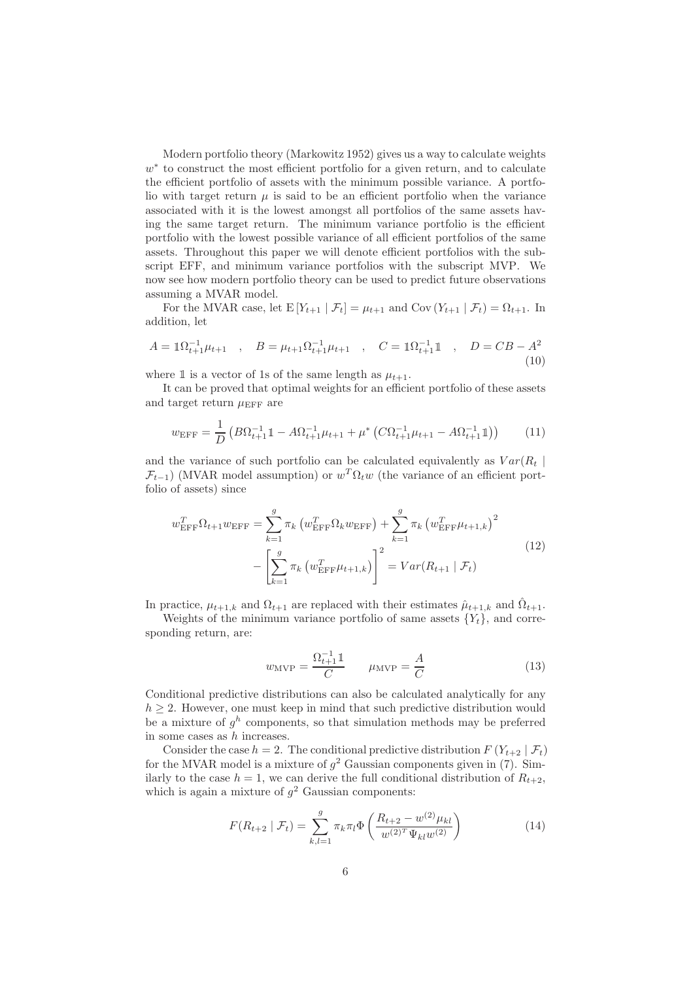Modern portfolio theory [\(Markowitz 1952\)](#page-18-0) gives us a way to calculate weights w<sup>\*</sup> to construct the most efficient portfolio for a given return, and to calculate the efficient portfolio of assets with the minimum possible variance. A portfolio with target return  $\mu$  is said to be an efficient portfolio when the variance associated with it is the lowest amongst all portfolios of the same assets having the same target return. The minimum variance portfolio is the efficient portfolio with the lowest possible variance of all efficient portfolios of the same assets. Throughout this paper we will denote efficient portfolios with the subscript EFF, and minimum variance portfolios with the subscript MVP. We now see how modern portfolio theory can be used to predict future observations assuming a MVAR model.

For the MVAR case, let  $E[Y_{t+1} | \mathcal{F}_t] = \mu_{t+1}$  and  $Cov(Y_{t+1} | \mathcal{F}_t) = \Omega_{t+1}$ . In addition, let

<span id="page-5-0"></span>
$$
A = \mathbb{1}\Omega_{t+1}^{-1}\mu_{t+1} \quad , \quad B = \mu_{t+1}\Omega_{t+1}^{-1}\mu_{t+1} \quad , \quad C = \mathbb{1}\Omega_{t+1}^{-1}\mathbb{1} \quad , \quad D = CB - A^2
$$
\n(10)

where 1 is a vector of 1s of the same length as  $\mu_{t+1}$ .

It can be proved that optimal weights for an efficient portfolio of these assets and target return  $\mu_{\rm EFF}$  are

<span id="page-5-1"></span>
$$
w_{\rm EFF} = \frac{1}{D} \left( B \Omega_{t+1}^{-1} \mathbb{1} - A \Omega_{t+1}^{-1} \mu_{t+1} + \mu^* \left( C \Omega_{t+1}^{-1} \mu_{t+1} - A \Omega_{t+1}^{-1} \mathbb{1} \right) \right) \tag{11}
$$

and the variance of such portfolio can be calculated equivalently as  $Var(R_t |$  $\mathcal{F}_{t-1}$ ) (MVAR model assumption) or  $w^T \Omega_t w$  (the variance of an efficient portfolio of assets) since

<span id="page-5-2"></span>
$$
w_{\text{EFF}}^T \Omega_{t+1} w_{\text{EFF}} = \sum_{k=1}^g \pi_k \left( w_{\text{EFF}}^T \Omega_k w_{\text{EFF}} \right) + \sum_{k=1}^g \pi_k \left( w_{\text{EFF}}^T \mu_{t+1,k} \right)^2 - \left[ \sum_{k=1}^g \pi_k \left( w_{\text{EFF}}^T \mu_{t+1,k} \right) \right]^2 = Var(R_{t+1} | \mathcal{F}_t)
$$
\n(12)

In practice,  $\mu_{t+1,k}$  and  $\Omega_{t+1}$  are replaced with their estimates  $\hat{\mu}_{t+1,k}$  and  $\hat{\Omega}_{t+1}$ .

Weights of the minimum variance portfolio of same assets  ${Y<sub>t</sub>}$ , and corresponding return, are:

<span id="page-5-3"></span>
$$
w_{\text{MVP}} = \frac{\Omega_{t+1}^{-1} \mathbb{1}}{C} \qquad \mu_{\text{MVP}} = \frac{A}{C} \tag{13}
$$

Conditional predictive distributions can also be calculated analytically for any  $h \geq 2$ . However, one must keep in mind that such predictive distribution would be a mixture of  $g^h$  components, so that simulation methods may be preferred in some cases as  $h$  increases.

Consider the case  $h = 2$ . The conditional predictive distribution  $F(Y_{t+2} | \mathcal{F}_t)$ for the MVAR model is a mixture of  $g^2$  Gaussian components given in [\(7\)](#page-4-0). Similarly to the case  $h = 1$ , we can derive the full conditional distribution of  $R_{t+2}$ , which is again a mixture of  $g^2$  Gaussian components:

<span id="page-5-4"></span>
$$
F(R_{t+2} | \mathcal{F}_t) = \sum_{k,l=1}^{g} \pi_k \pi_l \Phi\left(\frac{R_{t+2} - w^{(2)} \mu_{kl}}{w^{(2)^T} \Psi_{kl} w^{(2)}}\right)
$$
(14)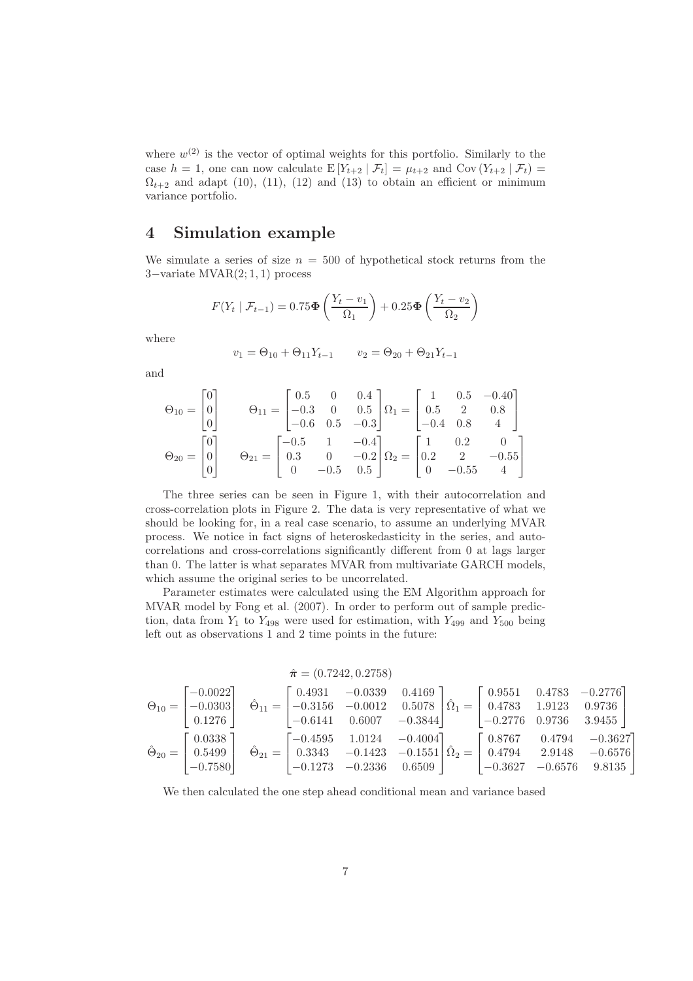where  $w^{(2)}$  is the vector of optimal weights for this portfolio. Similarly to the case  $h = 1$ , one can now calculate  $E[Y_{t+2} | \mathcal{F}_t] = \mu_{t+2}$  and  $Cov(Y_{t+2} | \mathcal{F}_t) =$  $\Omega_{t+2}$  and adapt [\(10\)](#page-5-0), [\(11\)](#page-5-1), [\(12\)](#page-5-2) and [\(13\)](#page-5-3) to obtain an efficient or minimum variance portfolio.

#### 4 Simulation example

We simulate a series of size  $n = 500$  of hypothetical stock returns from the 3−variate MVAR(2; 1, 1) process

$$
F(Y_t | \mathcal{F}_{t-1}) = 0.75 \Phi\left(\frac{Y_t - v_1}{\Omega_1}\right) + 0.25 \Phi\left(\frac{Y_t - v_2}{\Omega_2}\right)
$$

where

$$
v_1 = \Theta_{10} + \Theta_{11} Y_{t-1} \qquad v_2 = \Theta_{20} + \Theta_{21} Y_{t-1}
$$

and

$$
\Theta_{10} = \begin{bmatrix} 0 \\ 0 \\ 0 \end{bmatrix} \qquad \Theta_{11} = \begin{bmatrix} 0.5 & 0 & 0.4 \\ -0.3 & 0 & 0.5 \\ -0.6 & 0.5 & -0.3 \end{bmatrix} \Omega_{1} = \begin{bmatrix} 1 & 0.5 & -0.40 \\ 0.5 & 2 & 0.8 \\ -0.4 & 0.8 & 4 \end{bmatrix}
$$

$$
\Theta_{20} = \begin{bmatrix} 0 \\ 0 \\ 0 \end{bmatrix} \qquad \Theta_{21} = \begin{bmatrix} -0.5 & 1 & -0.4 \\ 0.3 & 0 & -0.2 \\ 0 & -0.5 & 0.5 \end{bmatrix} \Omega_{2} = \begin{bmatrix} 1 & 0.2 & 0 \\ 0.2 & 2 & -0.55 \\ 0 & -0.55 & 4 \end{bmatrix}
$$

The three series can be seen in Figure [1,](#page-7-0) with their autocorrelation and cross-correlation plots in Figure [2.](#page-8-0) The data is very representative of what we should be looking for, in a real case scenario, to assume an underlying MVAR process. We notice in fact signs of heteroskedasticity in the series, and autocorrelations and cross-correlations significantly different from 0 at lags larger than 0. The latter is what separates MVAR from multivariate GARCH models, which assume the original series to be uncorrelated.

Parameter estimates were calculated using the EM Algorithm approach for MVAR model by [Fong et al. \(2007\)](#page-18-5). In order to perform out of sample prediction, data from  $Y_1$  to  $Y_{498}$  were used for estimation, with  $Y_{499}$  and  $Y_{500}$  being left out as observations 1 and 2 time points in the future:

$$
\hat{\boldsymbol{\pi}} = (0.7242, 0.2758)
$$

$$
\Theta_{10} = \begin{bmatrix} -0.0022 \\ -0.0303 \\ 0.1276 \end{bmatrix} \quad \hat{\Theta}_{11} = \begin{bmatrix} 0.4931 & -0.0339 & 0.4169 \\ -0.3156 & -0.0012 & 0.5078 \\ -0.6141 & 0.6007 & -0.3844 \end{bmatrix} \hat{\Omega}_{1} = \begin{bmatrix} 0.9551 & 0.4783 & -0.2776 \\ 0.4783 & 1.9123 & 0.9736 \\ -0.2776 & 0.9736 & 3.9455 \end{bmatrix}
$$

$$
\hat{\Theta}_{20} = \begin{bmatrix} 0.0338 \\ 0.5499 \\ -0.7580 \end{bmatrix} \quad \hat{\Theta}_{21} = \begin{bmatrix} -0.4595 & 1.0124 & -0.4004 \\ 0.3343 & -0.1423 & -0.1551 \\ -0.1273 & -0.2336 & 0.6509 \end{bmatrix} \hat{\Omega}_{2} = \begin{bmatrix} 0.8767 & 0.4794 & -0.3627 \\ 0.4794 & 2.9148 & -0.6576 \\ -0.3627 & -0.6576 & 9.8135 \end{bmatrix}
$$

We then calculated the one step ahead conditional mean and variance based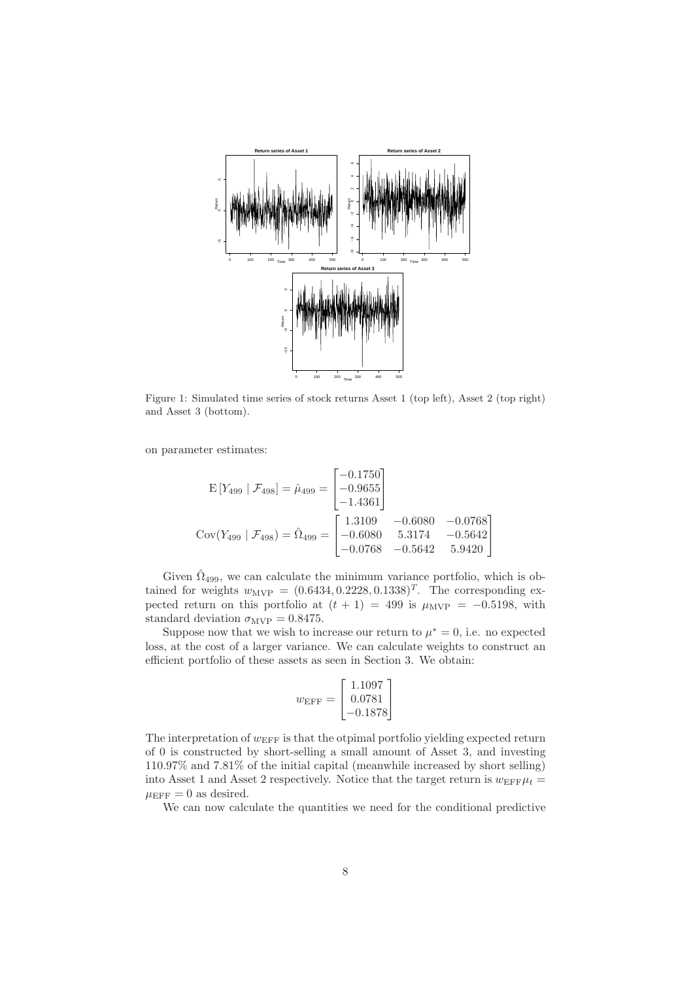<span id="page-7-0"></span>

Figure 1: Simulated time series of stock returns Asset 1 (top left), Asset 2 (top right) and Asset 3 (bottom).

on parameter estimates:

$$
E[Y_{499} | \mathcal{F}_{498}] = \hat{\mu}_{499} = \begin{bmatrix} -0.1750 \\ -0.9655 \\ -1.4361 \end{bmatrix}
$$

$$
Cov(Y_{499} | \mathcal{F}_{498}) = \hat{\Omega}_{499} = \begin{bmatrix} 1.3109 & -0.6080 & -0.0768 \\ -0.6080 & 5.3174 & -0.5642 \\ -0.0768 & -0.5642 & 5.9420 \end{bmatrix}
$$

Given  $\hat{\Omega}_{499}$ , we can calculate the minimum variance portfolio, which is obtained for weights  $w_{\text{MVP}} = (0.6434, 0.2228, 0.1338)^T$ . The corresponding expected return on this portfolio at  $(t + 1) = 499$  is  $\mu_{\text{MVP}} = -0.5198$ , with standard deviation  $\sigma_{\text{MVP}} = 0.8475$ .

Suppose now that we wish to increase our return to  $\mu^* = 0$ , i.e. no expected loss, at the cost of a larger variance. We can calculate weights to construct an efficient portfolio of these assets as seen in Section [3.](#page-4-1) We obtain:

$$
w_{\rm EFF} = \begin{bmatrix} 1.1097 \\ 0.0781 \\ -0.1878 \end{bmatrix}
$$

The interpretation of  $w_{\text{EFF}}$  is that the otpimal portfolio yielding expected return of 0 is constructed by short-selling a small amount of Asset 3, and investing 110.97% and 7.81% of the initial capital (meanwhile increased by short selling) into Asset 1 and Asset 2 respectively. Notice that the target return is  $w_{\text{EFF}}\mu_t =$  $\mu_{\text{EFF}} = 0$  as desired.

We can now calculate the quantities we need for the conditional predictive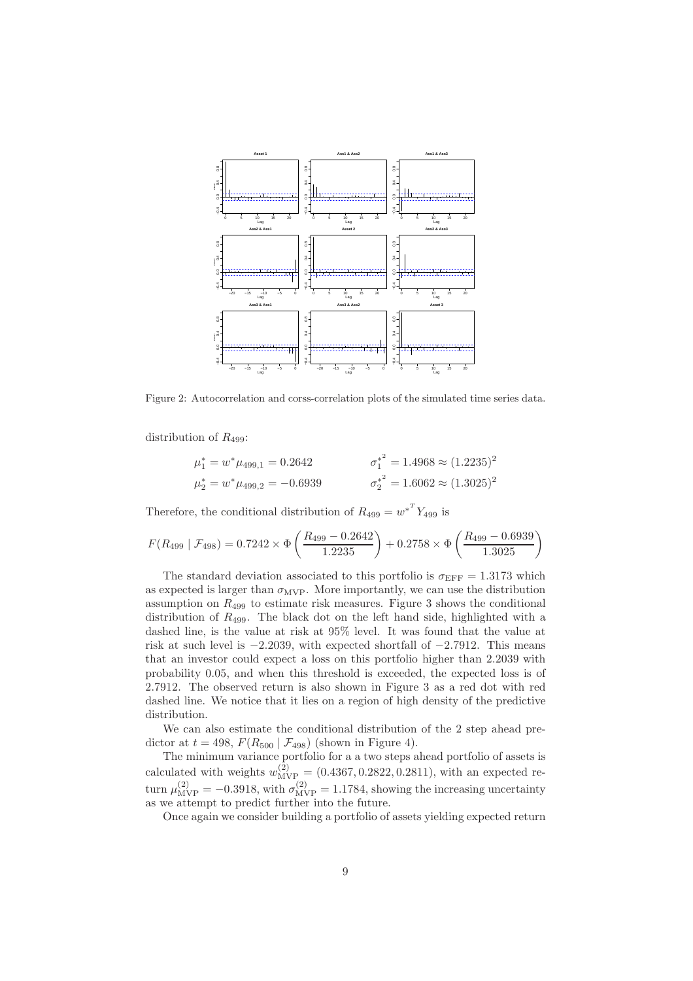<span id="page-8-0"></span>

Figure 2: Autocorrelation and corss-correlation plots of the simulated time series data.

distribution of  $R_{499}$ :

$$
\mu_1^* = w^* \mu_{499,1} = 0.2642 \qquad \sigma_1^{*^2} = 1.4968 \approx (1.2235)^2
$$
  

$$
\mu_2^* = w^* \mu_{499,2} = -0.6939 \qquad \sigma_2^{*^2} = 1.6062 \approx (1.3025)^2
$$

Therefore, the conditional distribution of  $R_{499} = w^{*T} Y_{499}$  is

$$
F(R_{499} | \mathcal{F}_{498}) = 0.7242 \times \Phi\left(\frac{R_{499} - 0.2642}{1.2235}\right) + 0.2758 \times \Phi\left(\frac{R_{499} - 0.6939}{1.3025}\right)
$$

The standard deviation associated to this portfolio is  $\sigma_{\rm EFF} = 1.3173$  which as expected is larger than  $\sigma_{\text{MVP}}$ . More importantly, we can use the distribution assumption on  $R_{499}$  to estimate risk measures. Figure [3](#page-9-0) shows the conditional distribution of  $R_{499}$ . The black dot on the left hand side, highlighted with a dashed line, is the value at risk at 95% level. It was found that the value at risk at such level is  $-2.2039$ , with expected shortfall of  $-2.7912$ . This means that an investor could expect a loss on this portfolio higher than 2.2039 with probability 0.05, and when this threshold is exceeded, the expected loss is of 2.7912. The observed return is also shown in Figure [3](#page-9-0) as a red dot with red dashed line. We notice that it lies on a region of high density of the predictive distribution.

We can also estimate the conditional distribution of the 2 step ahead predictor at  $t = 498$ ,  $F(R_{500} | \mathcal{F}_{498})$  (shown in Figure [4\)](#page-10-0).

The minimum variance portfolio for a a two steps ahead portfolio of assets is calculated with weights  $w_{\text{MVP}}^{(2)} = (0.4367, 0.2822, 0.2811)$ , with an expected return  $\mu_{\text{MVP}}^{(2)} = -0.3918$ , with  $\sigma_{\text{MVP}}^{(2)} = 1.1784$ , showing the increasing uncertainty as we attempt to predict further into the future.

Once again we consider building a portfolio of assets yielding expected return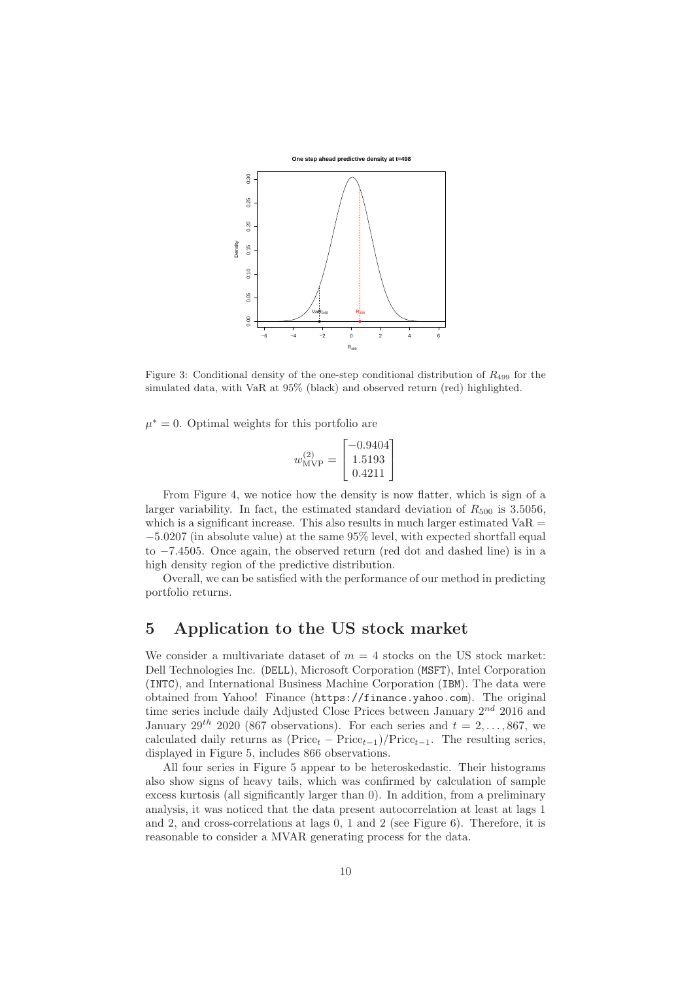<span id="page-9-0"></span>

Figure 3: Conditional density of the one-step conditional distribution of  $R_{499}$  for the simulated data, with VaR at 95% (black) and observed return (red) highlighted.

 $\mu^* = 0$ . Optimal weights for this portfolio are

$$
w_{\text{MVP}}^{(2)} = \begin{bmatrix} -0.9404\\ 1.5193\\ 0.4211 \end{bmatrix}
$$

From Figure [4,](#page-10-0) we notice how the density is now flatter, which is sign of a larger variability. In fact, the estimated standard deviation of  $R_{500}$  is 3.5056, which is a significant increase. This also results in much larger estimated  $VaR =$ −5.0207 (in absolute value) at the same 95% level, with expected shortfall equal to −7.4505. Once again, the observed return (red dot and dashed line) is in a high density region of the predictive distribution.

Overall, we can be satisfied with the performance of our method in predicting portfolio returns.

#### <span id="page-9-1"></span>5 Application to the US stock market

We consider a multivariate dataset of  $m = 4$  stocks on the US stock market: Dell Technologies Inc. (DELL), Microsoft Corporation (MSFT), Intel Corporation (INTC), and International Business Machine Corporation (IBM). The data were obtained from Yahoo! Finance (<https://finance.yahoo.com>). The original time series include daily Adjusted Close Prices between January  $2^{nd}$  2016 and January 29<sup>th</sup> 2020 (867 observations). For each series and  $t = 2, \ldots, 867$ , we calculated daily returns as  $(\text{Price}_{t} - \text{Price}_{t-1}) / \text{Price}_{t-1}$ . The resulting series, displayed in Figure [5,](#page-11-0) includes 866 observations.

All four series in Figure [5](#page-11-0) appear to be heteroskedastic. Their histograms also show signs of heavy tails, which was confirmed by calculation of sample excess kurtosis (all significantly larger than 0). In addition, from a preliminary analysis, it was noticed that the data present autocorrelation at least at lags 1 and 2, and cross-correlations at lags 0, 1 and 2 (see Figure [6\)](#page-12-0). Therefore, it is reasonable to consider a MVAR generating process for the data.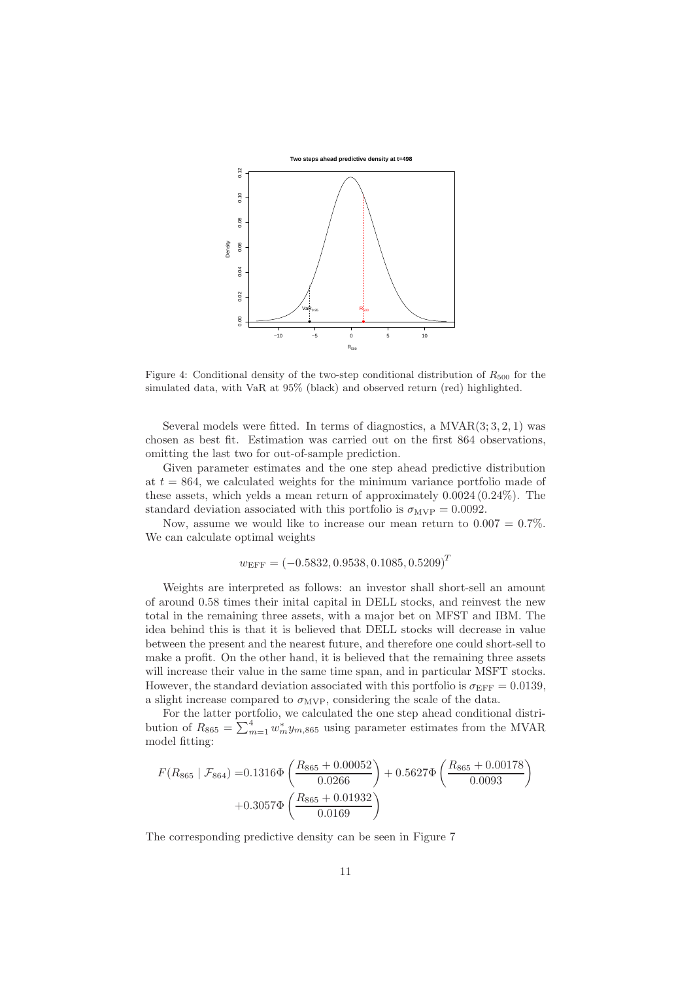<span id="page-10-0"></span>

Figure 4: Conditional density of the two-step conditional distribution of  $R_{500}$  for the simulated data, with VaR at 95% (black) and observed return (red) highlighted.

Several models were fitted. In terms of diagnostics, a  $\text{MVAR}(3; 3, 2, 1)$  was chosen as best fit. Estimation was carried out on the first 864 observations, omitting the last two for out-of-sample prediction.

Given parameter estimates and the one step ahead predictive distribution at  $t = 864$ , we calculated weights for the minimum variance portfolio made of these assets, which yelds a mean return of approximately 0.0024 (0.24%). The standard deviation associated with this portfolio is  $\sigma_{\text{MVP}} = 0.0092$ .

Now, assume we would like to increase our mean return to  $0.007 = 0.7\%$ . We can calculate optimal weights

$$
w_{\text{EFF}} = (-0.5832, 0.9538, 0.1085, 0.5209)^T
$$

Weights are interpreted as follows: an investor shall short-sell an amount of around 0.58 times their inital capital in DELL stocks, and reinvest the new total in the remaining three assets, with a major bet on MFST and IBM. The idea behind this is that it is believed that DELL stocks will decrease in value between the present and the nearest future, and therefore one could short-sell to make a profit. On the other hand, it is believed that the remaining three assets will increase their value in the same time span, and in particular MSFT stocks. However, the standard deviation associated with this portfolio is  $\sigma_{\rm EFF} = 0.0139$ , a slight increase compared to  $\sigma_{\text{MVP}}$ , considering the scale of the data.

For the latter portfolio, we calculated the one step ahead conditional distribution of  $R_{865} = \sum_{m=1}^{4} w_m^* y_{m,865}$  using parameter estimates from the MVAR model fitting:

$$
F(R_{865} | \mathcal{F}_{864}) = 0.1316 \Phi \left( \frac{R_{865} + 0.00052}{0.0266} \right) + 0.5627 \Phi \left( \frac{R_{865} + 0.00178}{0.0093} \right) + 0.3057 \Phi \left( \frac{R_{865} + 0.01932}{0.0169} \right)
$$

The corresponding predictive density can be seen in Figure [7](#page-12-1)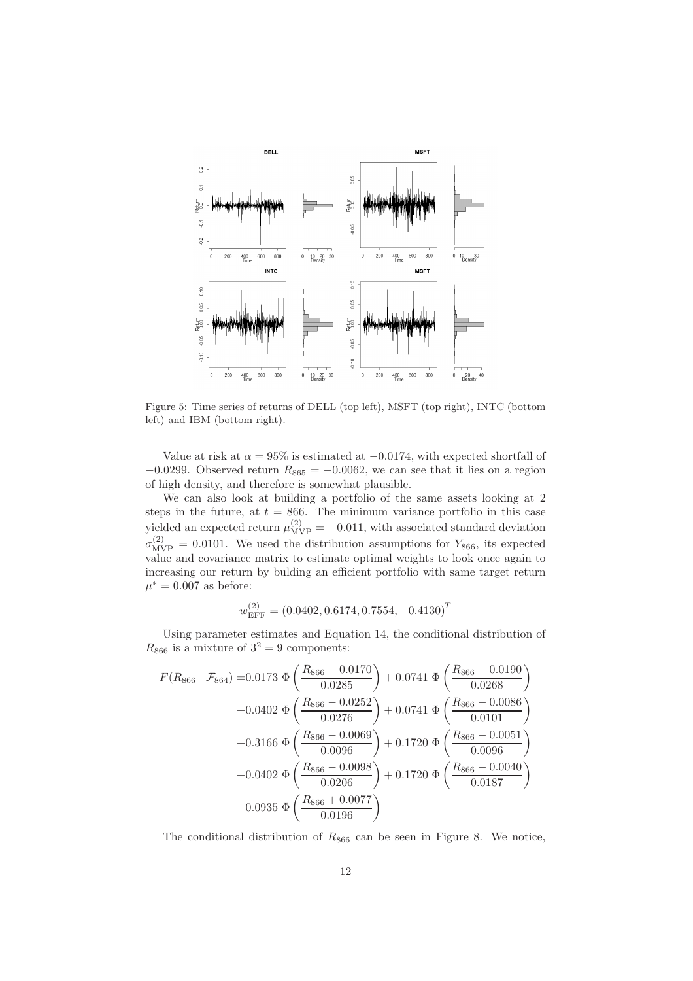<span id="page-11-0"></span>

Figure 5: Time series of returns of DELL (top left), MSFT (top right), INTC (bottom left) and IBM (bottom right).

Value at risk at  $\alpha = 95\%$  is estimated at  $-0.0174$ , with expected shortfall of  $-0.0299$ . Observed return  $R_{865} = -0.0062$ , we can see that it lies on a region of high density, and therefore is somewhat plausible.

We can also look at building a portfolio of the same assets looking at 2 steps in the future, at  $t = 866$ . The minimum variance portfolio in this case yielded an expected return  $\mu_{\text{MVP}}^{(2)} = -0.011$ , with associated standard deviation  $\sigma_{\text{MVP}}^{(2)} = 0.0101$ . We used the distribution assumptions for  $Y_{866}$ , its expected value and covariance matrix to estimate optimal weights to look once again to increasing our return by bulding an efficient portfolio with same target return  $\mu^* = 0.007$  as before:

$$
w_{\text{EFF}}^{(2)} = (0.0402, 0.6174, 0.7554, -0.4130)^T
$$

Using parameter estimates and Equation [14,](#page-5-4) the conditional distribution of  $R_{866}$  is a mixture of  $3^2 = 9$  components:

$$
F(R_{866} | \mathcal{F}_{864}) = 0.0173 \Phi \left( \frac{R_{866} - 0.0170}{0.0285} \right) + 0.0741 \Phi \left( \frac{R_{866} - 0.0190}{0.0268} \right)
$$
  
+ 0.0402  $\Phi \left( \frac{R_{866} - 0.0252}{0.0276} \right) + 0.0741 \Phi \left( \frac{R_{866} - 0.0086}{0.0101} \right)$   
+ 0.3166  $\Phi \left( \frac{R_{866} - 0.0069}{0.0096} \right) + 0.1720 \Phi \left( \frac{R_{866} - 0.0051}{0.0096} \right)$   
+ 0.0402  $\Phi \left( \frac{R_{866} - 0.0098}{0.0206} \right) + 0.1720 \Phi \left( \frac{R_{866} - 0.0040}{0.0187} \right)$   
+ 0.0935  $\Phi \left( \frac{R_{866} + 0.0077}{0.0196} \right)$ 

The conditional distribution of  $R_{866}$  can be seen in Figure [8.](#page-13-0) We notice,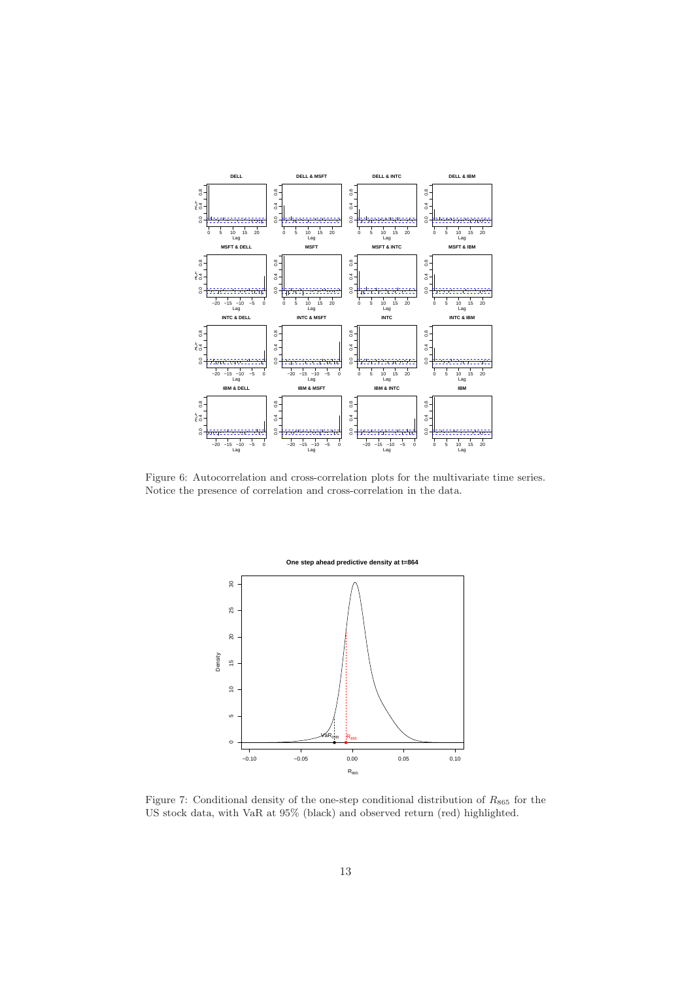<span id="page-12-0"></span>

<span id="page-12-1"></span>Figure 6: Autocorrelation and cross-correlation plots for the multivariate time series. Notice the presence of correlation and cross-correlation in the data.



Figure 7: Conditional density of the one-step conditional distribution of  $R_{865}$  for the US stock data, with VaR at 95% (black) and observed return (red) highlighted.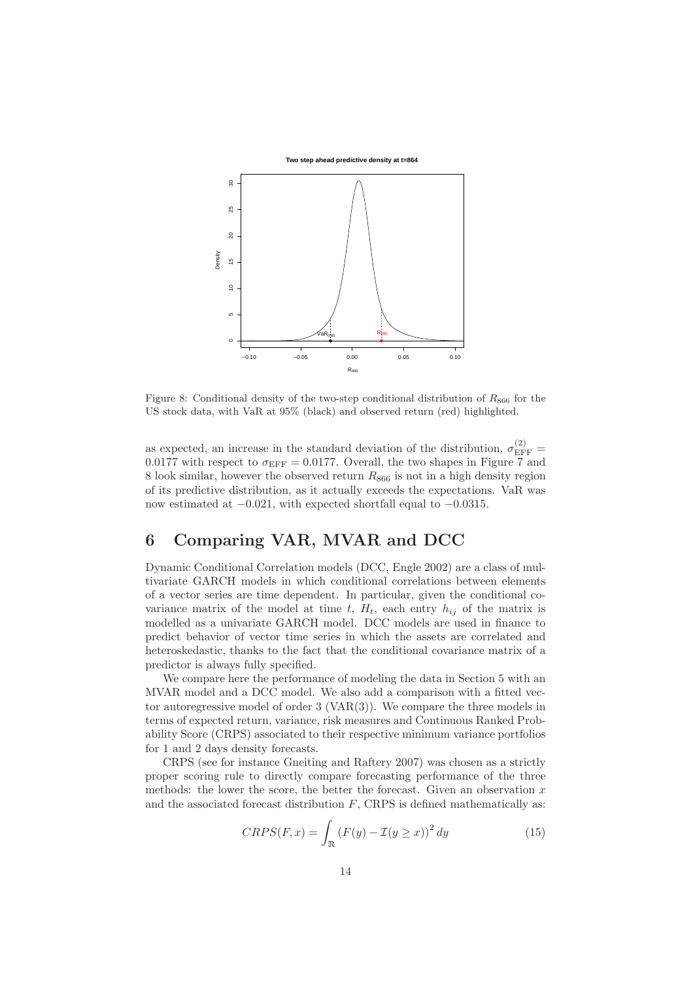<span id="page-13-0"></span>

Figure 8: Conditional density of the two-step conditional distribution of  $R_{866}$  for the US stock data, with VaR at 95% (black) and observed return (red) highlighted.

as expected, an increase in the standard deviation of the distribution,  $\sigma_{\rm EFF}^{(2)}$  = 0.0177 with respect to  $\sigma_{\rm EFF} = 0.0177$ . Overall, the two shapes in Figure [7](#page-12-1) and [8](#page-13-0) look similar, however the observed return  $R_{866}$  is not in a high density region of its predictive distribution, as it actually exceeds the expectations. VaR was now estimated at −0.021, with expected shortfall equal to −0.0315.

### 6 Comparing VAR, MVAR and DCC

Dynamic Conditional Correlation models (DCC, [Engle 2002\)](#page-18-2) are a class of multivariate GARCH models in which conditional correlations between elements of a vector series are time dependent. In particular, given the conditional covariance matrix of the model at time t,  $H_t$ , each entry  $h_{ij}$  of the matrix is modelled as a univariate GARCH model. DCC models are used in finance to predict behavior of vector time series in which the assets are correlated and heteroskedastic, thanks to the fact that the conditional covariance matrix of a predictor is always fully specified.

We compare here the performance of modeling the data in Section [5](#page-9-1) with an MVAR model and a DCC model. We also add a comparison with a fitted vector autoregressive model of order 3 (VAR(3)). We compare the three models in terms of expected return, variance, risk measures and Continuous Ranked Probability Score (CRPS) associated to their respective minimum variance portfolios for 1 and 2 days density forecasts.

CRPS (see for instance [Gneiting and Raftery 2007\)](#page-18-10) was chosen as a strictly proper scoring rule to directly compare forecasting performance of the three methods: the lower the score, the better the forecast. Given an observation  $x$ and the associated forecast distribution  $F$ , CRPS is defined mathematically as:

$$
CRPS(F, x) = \int_{\mathbb{R}} \left( F(y) - \mathcal{I}(y \ge x) \right)^2 dy \tag{15}
$$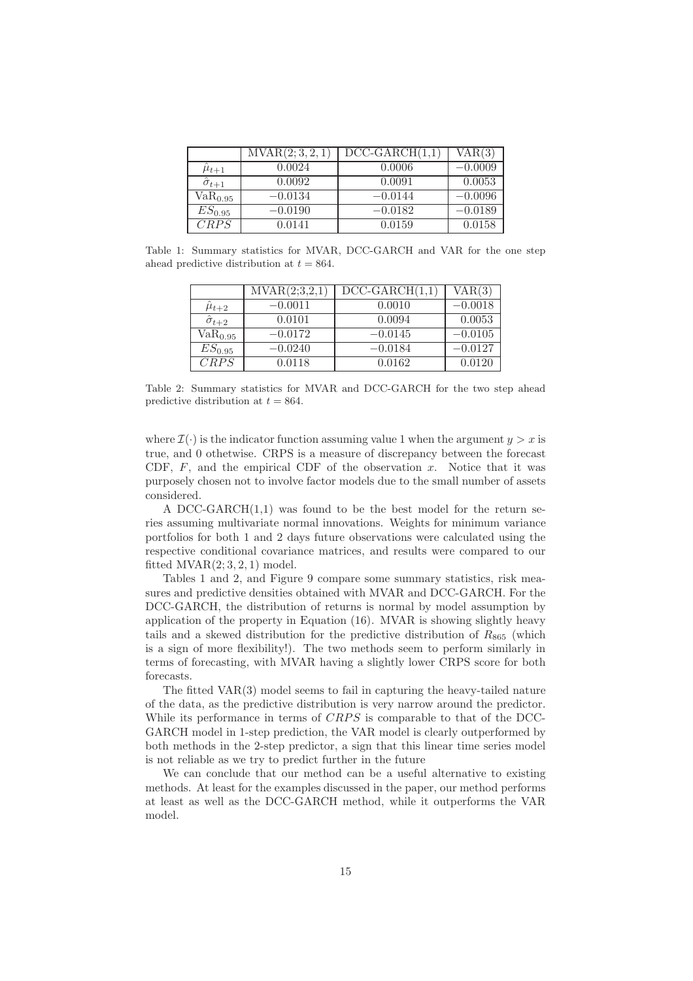<span id="page-14-0"></span>

|                      | MVAR(2; 3, 2, | $DCC-GARCH(1)$ | VAR(3)    |
|----------------------|---------------|----------------|-----------|
| $\mu_{t+1}$          | 0.0024        | 0.0006         | $-0.0009$ |
| $\hat{\sigma}_{t+1}$ | 0.0092        | 0.0091         | 0.0053    |
| VaR <sub>0.95</sub>  | $-0.0134$     | $-0.0144$      | $-0.0096$ |
| $ES_{0.95}$          | $-0.0190$     | $-0.0182$      | $-0.0189$ |
| CRPS                 | 0.0141        | 0.0159         | 0.0158    |

<span id="page-14-1"></span>Table 1: Summary statistics for MVAR, DCC-GARCH and VAR for the one step ahead predictive distribution at  $t = 864$ .

|                      | MVAR(2;3,2,1) | $DCC-GARCH(1.1$ | VAR(3     |
|----------------------|---------------|-----------------|-----------|
| $\mu_{t+2}$          | $-0.0011$     | 0.0010          | $-0.0018$ |
| $\hat{\sigma}_{t+2}$ | 0.0101        | 0.0094          | 0.0053    |
| VaR <sub>0.95</sub>  | $-0.0172$     | $-0.0145$       | $-0.0105$ |
| $ES_{0.95}$          | $-0.0240$     | $-0.0184$       | $-0.0127$ |
| CRPS                 | 0.0118        | 0.0162          | 0.0120    |

Table 2: Summary statistics for MVAR and DCC-GARCH for the two step ahead predictive distribution at  $t = 864$ .

where  $\mathcal{I}(\cdot)$  is the indicator function assuming value 1 when the argument  $y > x$  is true, and 0 othetwise. CRPS is a measure of discrepancy between the forecast CDF,  $F$ , and the empirical CDF of the observation x. Notice that it was purposely chosen not to involve factor models due to the small number of assets considered.

A DCC-GARCH(1,1) was found to be the best model for the return series assuming multivariate normal innovations. Weights for minimum variance portfolios for both 1 and 2 days future observations were calculated using the respective conditional covariance matrices, and results were compared to our fitted  $MVAR(2; 3, 2, 1) \text{ model.}$ 

Tables [1](#page-14-0) and [2,](#page-14-1) and Figure [9](#page-15-0) compare some summary statistics, risk measures and predictive densities obtained with MVAR and DCC-GARCH. For the DCC-GARCH, the distribution of returns is normal by model assumption by application of the property in Equation [\(16\)](#page-16-1). MVAR is showing slightly heavy tails and a skewed distribution for the predictive distribution of  $R_{865}$  (which is a sign of more flexibility!). The two methods seem to perform similarly in terms of forecasting, with MVAR having a slightly lower CRPS score for both forecasts.

The fitted VAR(3) model seems to fail in capturing the heavy-tailed nature of the data, as the predictive distribution is very narrow around the predictor. While its performance in terms of  $CRPS$  is comparable to that of the DCC-GARCH model in 1-step prediction, the VAR model is clearly outperformed by both methods in the 2-step predictor, a sign that this linear time series model is not reliable as we try to predict further in the future

We can conclude that our method can be a useful alternative to existing methods. At least for the examples discussed in the paper, our method performs at least as well as the DCC-GARCH method, while it outperforms the VAR model.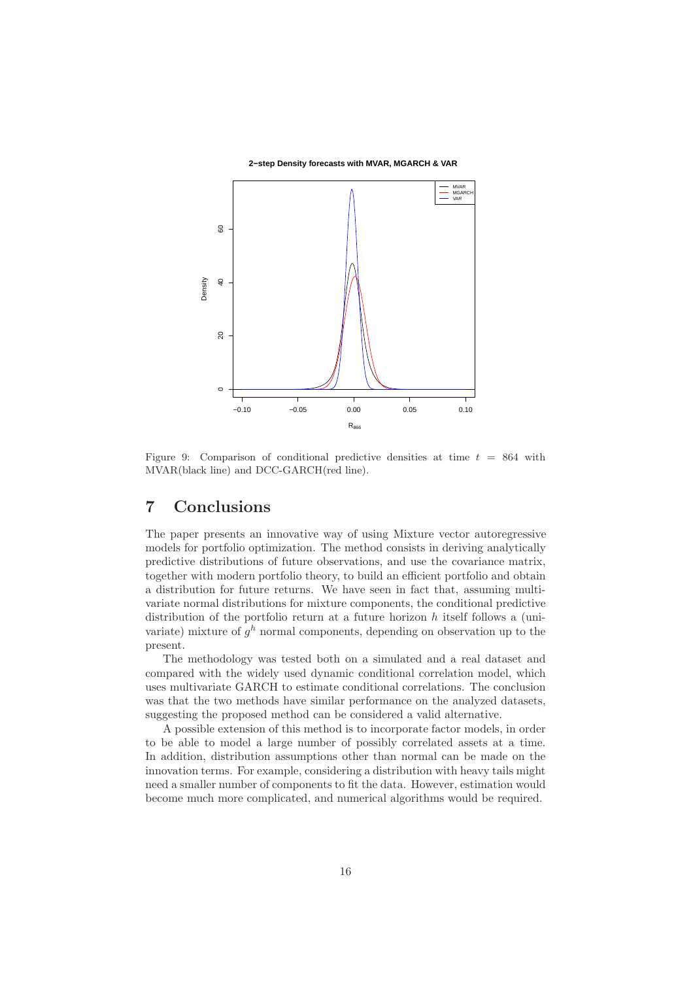**2−step Density forecasts with MVAR, MGARCH & VAR**

<span id="page-15-0"></span>

Figure 9: Comparison of conditional predictive densities at time  $t = 864$  with MVAR(black line) and DCC-GARCH(red line).

## 7 Conclusions

The paper presents an innovative way of using Mixture vector autoregressive models for portfolio optimization. The method consists in deriving analytically predictive distributions of future observations, and use the covariance matrix, together with modern portfolio theory, to build an efficient portfolio and obtain a distribution for future returns. We have seen in fact that, assuming multivariate normal distributions for mixture components, the conditional predictive distribution of the portfolio return at a future horizon  $h$  itself follows a (univariate) mixture of  $g^h$  normal components, depending on observation up to the present.

The methodology was tested both on a simulated and a real dataset and compared with the widely used dynamic conditional correlation model, which uses multivariate GARCH to estimate conditional correlations. The conclusion was that the two methods have similar performance on the analyzed datasets, suggesting the proposed method can be considered a valid alternative.

A possible extension of this method is to incorporate factor models, in order to be able to model a large number of possibly correlated assets at a time. In addition, distribution assumptions other than normal can be made on the innovation terms. For example, considering a distribution with heavy tails might need a smaller number of components to fit the data. However, estimation would become much more complicated, and numerical algorithms would be required.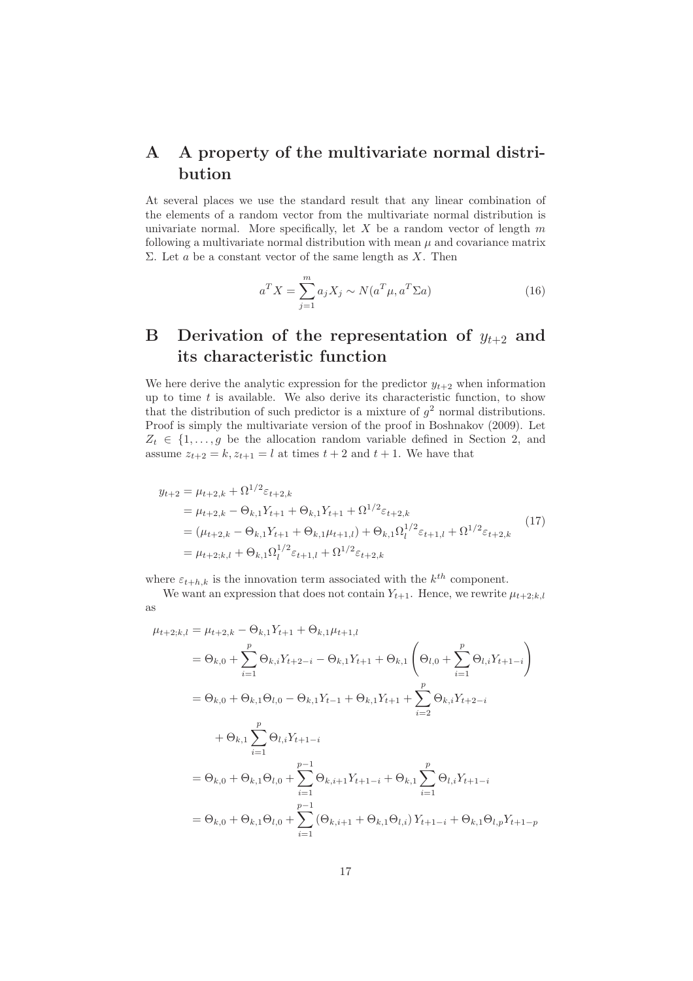# A A property of the multivariate normal distribution

At several places we use the standard result that any linear combination of the elements of a random vector from the multivariate normal distribution is univariate normal. More specifically, let  $X$  be a random vector of length  $m$ following a multivariate normal distribution with mean  $\mu$  and covariance matrix Σ. Let a be a constant vector of the same length as X. Then

<span id="page-16-1"></span>
$$
a^T X = \sum_{j=1}^m a_j X_j \sim N(a^T \mu, a^T \Sigma a)
$$
\n(16)

# <span id="page-16-0"></span>B Derivation of the representation of  $y_{t+2}$  and its characteristic function

We here derive the analytic expression for the predictor  $y_{t+2}$  when information up to time  $t$  is available. We also derive its characteristic function, to show that the distribution of such predictor is a mixture of  $g^2$  normal distributions. Proof is simply the multivariate version of the proof in [Boshnakov \(2009\)](#page-17-2). Let  $Z_t \in \{1, \ldots, g \}$  be the allocation random variable defined in Section [2,](#page-1-1) and assume  $z_{t+2} = k$ ,  $z_{t+1} = l$  at times  $t + 2$  and  $t + 1$ . We have that

$$
y_{t+2} = \mu_{t+2,k} + \Omega^{1/2} \varepsilon_{t+2,k}
$$
  
=  $\mu_{t+2,k} - \Theta_{k,1} Y_{t+1} + \Theta_{k,1} Y_{t+1} + \Omega^{1/2} \varepsilon_{t+2,k}$   
=  $(\mu_{t+2,k} - \Theta_{k,1} Y_{t+1} + \Theta_{k,1} \mu_{t+1,l}) + \Theta_{k,1} \Omega_l^{1/2} \varepsilon_{t+1,l} + \Omega^{1/2} \varepsilon_{t+2,k}$   
=  $\mu_{t+2,k,l} + \Theta_{k,1} \Omega_l^{1/2} \varepsilon_{t+1,l} + \Omega^{1/2} \varepsilon_{t+2,k}$  (17)

where  $\varepsilon_{t+h,k}$  is the innovation term associated with the  $k^{th}$  component.

We want an expression that does not contain  $Y_{t+1}$ . Hence, we rewrite  $\mu_{t+2:k,l}$ as

$$
\mu_{t+2;k,l} = \mu_{t+2,k} - \Theta_{k,1} Y_{t+1} + \Theta_{k,1} \mu_{t+1,l}
$$
  
\n
$$
= \Theta_{k,0} + \sum_{i=1}^p \Theta_{k,i} Y_{t+2-i} - \Theta_{k,1} Y_{t+1} + \Theta_{k,1} \left( \Theta_{l,0} + \sum_{i=1}^p \Theta_{l,i} Y_{t+1-i} \right)
$$
  
\n
$$
= \Theta_{k,0} + \Theta_{k,1} \Theta_{l,0} - \Theta_{k,1} Y_{t-1} + \Theta_{k,1} Y_{t+1} + \sum_{i=2}^p \Theta_{k,i} Y_{t+2-i}
$$
  
\n
$$
+ \Theta_{k,1} \sum_{i=1}^p \Theta_{l,i} Y_{t+1-i}
$$
  
\n
$$
= \Theta_{k,0} + \Theta_{k,1} \Theta_{l,0} + \sum_{i=1}^{p-1} \Theta_{k,i+1} Y_{t+1-i} + \Theta_{k,1} \sum_{i=1}^p \Theta_{l,i} Y_{t+1-i}
$$
  
\n
$$
= \Theta_{k,0} + \Theta_{k,1} \Theta_{l,0} + \sum_{i=1}^{p-1} (\Theta_{k,i+1} + \Theta_{k,1} \Theta_{l,i}) Y_{t+1-i} + \Theta_{k,1} \Theta_{l,p} Y_{t+1-p}
$$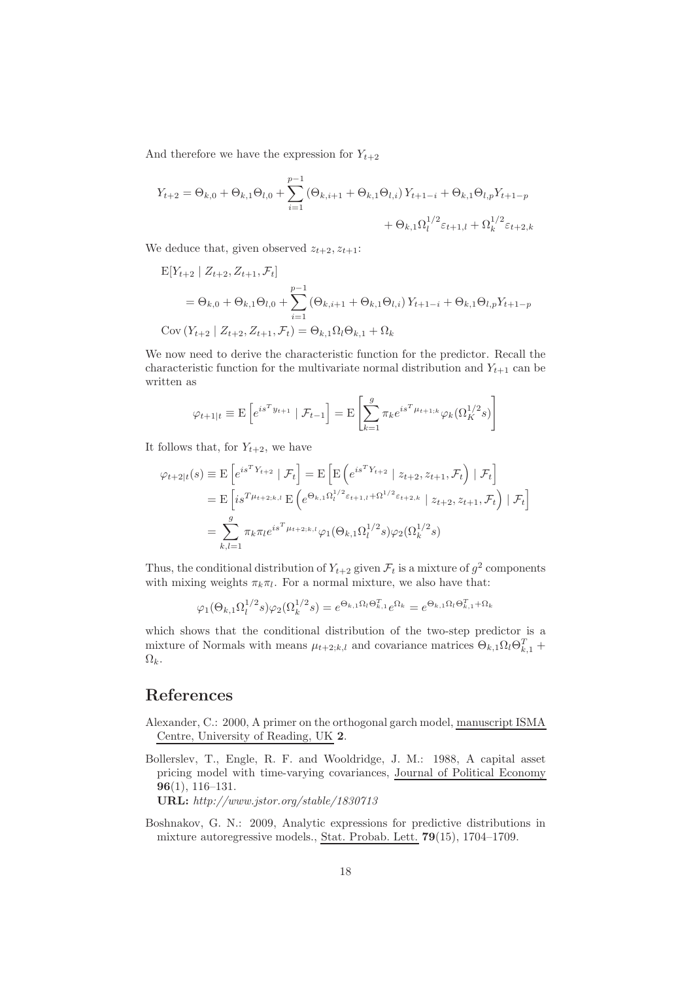And therefore we have the expression for  $Y_{t+2}$ 

$$
Y_{t+2} = \Theta_{k,0} + \Theta_{k,1}\Theta_{l,0} + \sum_{i=1}^{p-1} (\Theta_{k,i+1} + \Theta_{k,1}\Theta_{l,i}) Y_{t+1-i} + \Theta_{k,1}\Theta_{l,p}Y_{t+1-p} + \Theta_{k,1}\Omega_{l}^{1/2}\varepsilon_{t+1,l} + \Omega_{k}^{1/2}\varepsilon_{t+2,k}
$$

We deduce that, given observed  $z_{t+2}, z_{t+1}$ :

$$
E[Y_{t+2} | Z_{t+2}, Z_{t+1}, \mathcal{F}_t]
$$
  
=  $\Theta_{k,0} + \Theta_{k,1}\Theta_{l,0} + \sum_{i=1}^{p-1} (\Theta_{k,i+1} + \Theta_{k,1}\Theta_{l,i}) Y_{t+1-i} + \Theta_{k,1}\Theta_{l,p}Y_{t+1-p}$   
Cov  $(Y_{t+2} | Z_{t+2}, Z_{t+1}, \mathcal{F}_t) = \Theta_{k,1}\Omega_l \Theta_{k,1} + \Omega_k$ 

We now need to derive the characteristic function for the predictor. Recall the characteristic function for the multivariate normal distribution and  $Y_{t+1}$  can be written as

$$
\varphi_{t+1|t} \equiv \mathrm{E}\left[e^{is^T y_{t+1}} | \mathcal{F}_{t-1}\right] = \mathrm{E}\left[\sum_{k=1}^g \pi_k e^{is^T \mu_{t+1;k}} \varphi_k(\Omega_K^{1/2} s)\right]
$$

It follows that, for  $Y_{t+2}$ , we have

$$
\varphi_{t+2|t}(s) \equiv \mathbf{E} \left[ e^{is^T Y_{t+2}} \mid \mathcal{F}_t \right] = \mathbf{E} \left[ \mathbf{E} \left( e^{is^T Y_{t+2}} \mid z_{t+2}, z_{t+1}, \mathcal{F}_t \right) \mid \mathcal{F}_t \right]
$$
  
\n
$$
= \mathbf{E} \left[ i s^{T \mu_{t+2;k,l}} \mathbf{E} \left( e^{\Theta_{k,1} \Omega_l^{1/2} \varepsilon_{t+1,l} + \Omega^{1/2} \varepsilon_{t+2,k}} \mid z_{t+2}, z_{t+1}, \mathcal{F}_t \right) \mid \mathcal{F}_t \right]
$$
  
\n
$$
= \sum_{k,l=1}^g \pi_k \pi_l e^{is^T \mu_{t+2;k,l}} \varphi_1(\Theta_{k,1} \Omega_l^{1/2} s) \varphi_2(\Omega_k^{1/2} s)
$$

Thus, the conditional distribution of  $Y_{t+2}$  given  $\mathcal{F}_t$  is a mixture of  $g^2$  components with mixing weights  $\pi_k \pi_l$ . For a normal mixture, we also have that:

$$
\varphi_1(\Theta_{k,1}\Omega_l^{1/2}s)\varphi_2(\Omega_k^{1/2}s) = e^{\Theta_{k,1}\Omega_l \Theta_{k,1}^T}e^{\Omega_k} = e^{\Theta_{k,1}\Omega_l \Theta_{k,1}^T + \Omega_k}
$$

which shows that the conditional distribution of the two-step predictor is a mixture of Normals with means  $\mu_{t+2;k,l}$  and covariance matrices  $\Theta_{k,1}\Omega_l\Theta_{k,1}^T$  +  $\Omega_k$ .

### References

- <span id="page-17-1"></span>Alexander, C.: 2000, A primer on the orthogonal garch model, manuscript ISMA Centre, University of Reading, UK 2.
- <span id="page-17-0"></span>Bollerslev, T., Engle, R. F. and Wooldridge, J. M.: 1988, A capital asset pricing model with time-varying covariances, Journal of Political Economy 96(1), 116–131. URL: *http://www.jstor.org/stable/1830713*

<span id="page-17-2"></span>Boshnakov, G. N.: 2009, Analytic expressions for predictive distributions in mixture autoregressive models., Stat. Probab. Lett. 79(15), 1704–1709.